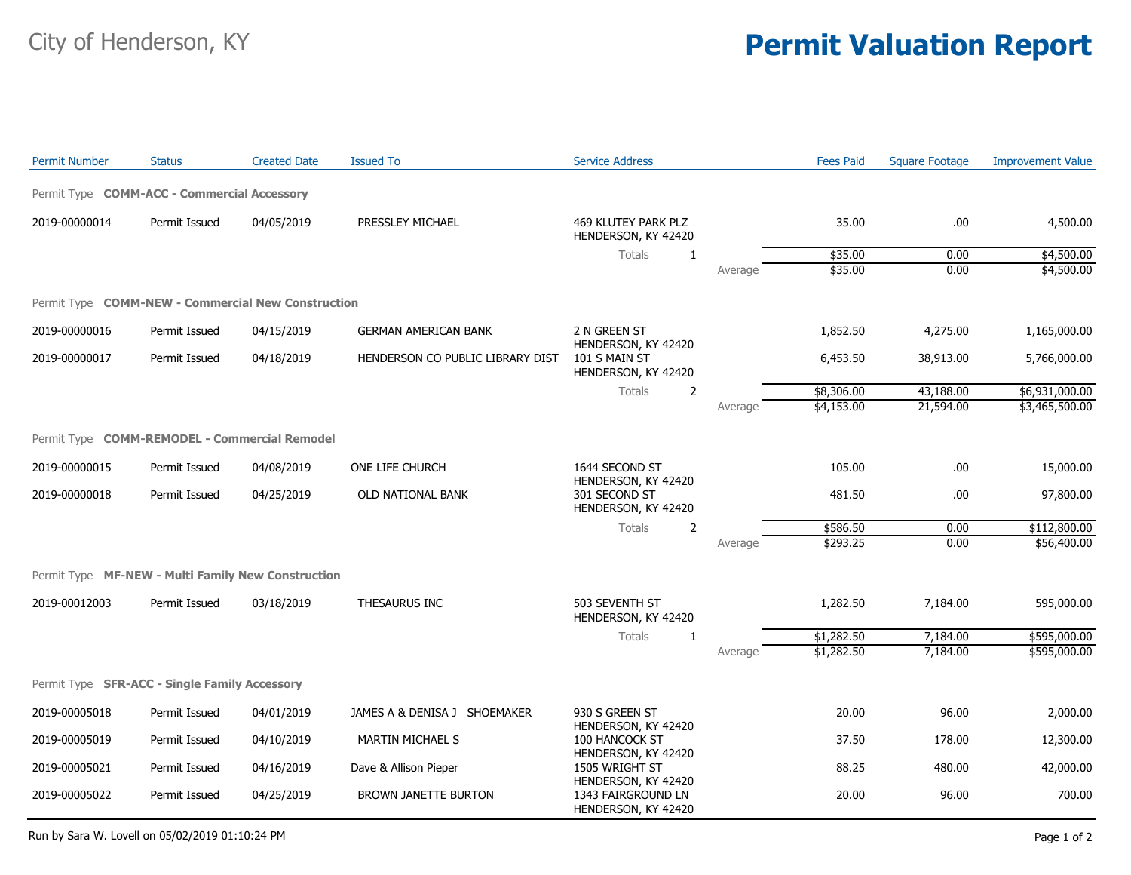## City of Henderson, KY **Permit Valuation Report**

| <b>Permit Number</b>                               | <b>Status</b> | <b>Created Date</b> | <b>Issued To</b>                 | <b>Service Address</b>                                                      |         | <b>Fees Paid</b> | <b>Square Footage</b> | <b>Improvement Value</b> |
|----------------------------------------------------|---------------|---------------------|----------------------------------|-----------------------------------------------------------------------------|---------|------------------|-----------------------|--------------------------|
| Permit Type COMM-ACC - Commercial Accessory        |               |                     |                                  |                                                                             |         |                  |                       |                          |
| 2019-00000014                                      | Permit Issued | 04/05/2019          | PRESSLEY MICHAEL                 | 469 KLUTEY PARK PLZ<br>HENDERSON, KY 42420                                  |         | 35.00            | .00                   | 4,500.00                 |
|                                                    |               |                     |                                  | <b>Totals</b><br>1                                                          |         | \$35.00          | 0.00                  | \$4,500.00               |
|                                                    |               |                     |                                  |                                                                             | Average | \$35.00          | 0.00                  | \$4,500.00               |
| Permit Type COMM-NEW - Commercial New Construction |               |                     |                                  |                                                                             |         |                  |                       |                          |
| 2019-00000016                                      | Permit Issued | 04/15/2019          | <b>GERMAN AMERICAN BANK</b>      | 2 N GREEN ST<br>HENDERSON, KY 42420<br>101 S MAIN ST<br>HENDERSON, KY 42420 |         | 1,852.50         | 4,275.00              | 1,165,000.00             |
| 2019-00000017                                      | Permit Issued | 04/18/2019          | HENDERSON CO PUBLIC LIBRARY DIST |                                                                             |         | 6,453.50         | 38,913.00             | 5,766,000.00             |
|                                                    |               |                     |                                  | $\overline{2}$<br><b>Totals</b>                                             |         | \$8,306.00       | 43,188.00             | \$6,931,000.00           |
|                                                    |               |                     |                                  |                                                                             | Average | \$4,153.00       | 21,594.00             | \$3,465,500.00           |
| Permit Type COMM-REMODEL - Commercial Remodel      |               |                     |                                  |                                                                             |         |                  |                       |                          |
| 2019-00000015                                      | Permit Issued | 04/08/2019          | ONE LIFE CHURCH                  | 1644 SECOND ST<br>HENDERSON, KY 42420                                       |         | 105.00           | .00                   | 15,000.00                |
| 2019-00000018                                      | Permit Issued | 04/25/2019          | OLD NATIONAL BANK                | 301 SECOND ST<br>HENDERSON, KY 42420                                        |         | 481.50           | .00                   | 97,800.00                |
|                                                    |               |                     |                                  | Totals<br>2                                                                 |         | \$586.50         | 0.00                  | \$112,800.00             |
|                                                    |               |                     |                                  |                                                                             | Average | \$293.25         | 0.00                  | \$56,400.00              |
| Permit Type MF-NEW - Multi Family New Construction |               |                     |                                  |                                                                             |         |                  |                       |                          |
| 2019-00012003                                      | Permit Issued | 03/18/2019          | THESAURUS INC                    | 503 SEVENTH ST<br>HENDERSON, KY 42420                                       |         | 1,282.50         | 7,184.00              | 595,000.00               |
|                                                    |               |                     |                                  | Totals<br>1                                                                 |         | \$1,282.50       | 7,184.00              | \$595,000.00             |
|                                                    |               |                     |                                  |                                                                             | Average | \$1,282.50       | 7,184.00              | \$595,000.00             |
| Permit Type SFR-ACC - Single Family Accessory      |               |                     |                                  |                                                                             |         |                  |                       |                          |
| 2019-00005018                                      | Permit Issued | 04/01/2019          | JAMES A & DENISA J SHOEMAKER     | 930 S GREEN ST                                                              |         | 20.00            | 96.00                 | 2,000.00                 |
| 2019-00005019                                      | Permit Issued | 04/10/2019          | <b>MARTIN MICHAEL S</b>          | HENDERSON, KY 42420<br>100 HANCOCK ST<br>HENDERSON, KY 42420                |         | 37.50            | 178.00                | 12,300.00                |
| 2019-00005021                                      | Permit Issued | 04/16/2019          | Dave & Allison Pieper            | 1505 WRIGHT ST<br>HENDERSON, KY 42420                                       |         | 88.25            | 480.00                | 42,000.00                |
| 2019-00005022                                      | Permit Issued | 04/25/2019          | <b>BROWN JANETTE BURTON</b>      | 1343 FAIRGROUND LN<br>HENDERSON, KY 42420                                   |         | 20.00            | 96.00                 | 700.00                   |